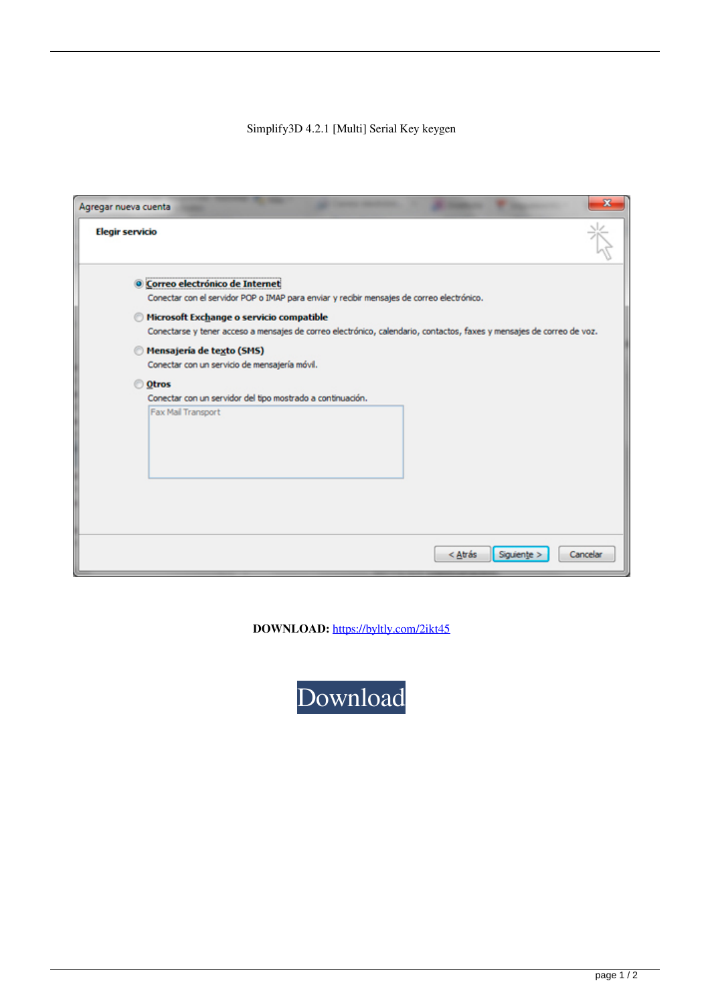## Simplify3D 4.2.1 [Multi] Serial Key keygen

| Agregar nueva cuenta   |                                                                                                                               |         | $\mathbf x$             |
|------------------------|-------------------------------------------------------------------------------------------------------------------------------|---------|-------------------------|
| <b>Elegir servicio</b> |                                                                                                                               |         |                         |
|                        | O Correo electrónico de Internet<br>Conectar con el servidor POP o IMAP para enviar y recibir mensajes de correo electrónico. |         |                         |
|                        | Microsoft Exchange o servicio compatible                                                                                      |         |                         |
|                        | Conectarse y tener acceso a mensajes de correo electrónico, calendario, contactos, faxes y mensajes de correo de voz.         |         |                         |
|                        | Mensajería de texto (SMS)                                                                                                     |         |                         |
|                        | Conectar con un servicio de mensajería móvil.                                                                                 |         |                         |
| O Otros                |                                                                                                                               |         |                         |
|                        | Conectar con un servidor del tipo mostrado a continuación.                                                                    |         |                         |
|                        | Fax Mail Transport                                                                                                            |         |                         |
|                        |                                                                                                                               |         |                         |
|                        |                                                                                                                               |         |                         |
|                        |                                                                                                                               |         |                         |
|                        |                                                                                                                               |         |                         |
|                        |                                                                                                                               | < Atrás | Siguiente ><br>Cancelar |
|                        |                                                                                                                               |         |                         |

**DOWNLOAD:** <https://byltly.com/2ikt45>